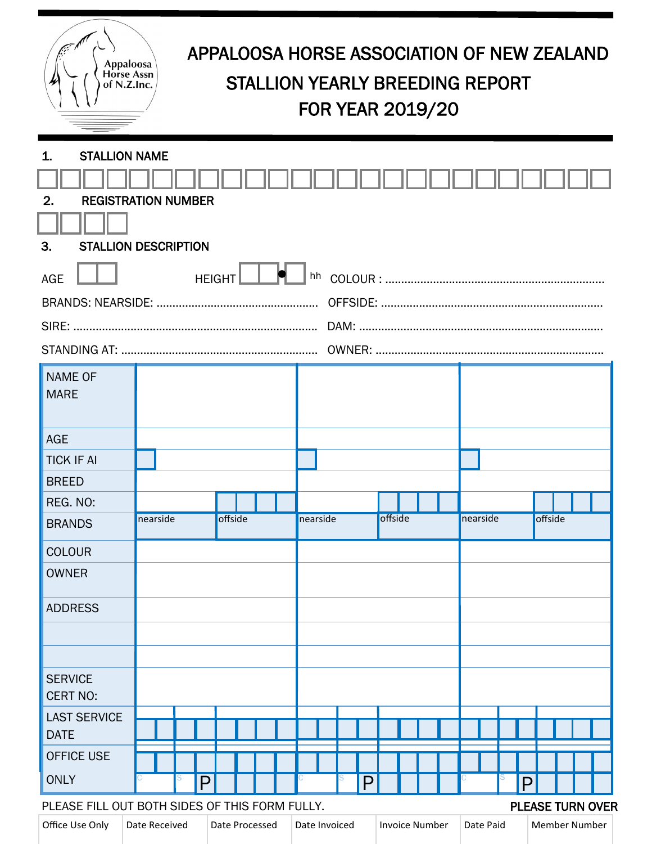| Appaloosa<br><b>Horse Assn</b><br>of N.Z.Inc.                                                |          | APPALOOSA HORSE ASSOCIATION OF NEW ZEALAND<br><b>STALLION YEARLY BREEDING REPORT</b><br><b>FOR YEAR 2019/20</b> |         |  |          |  |   |                            |  |  |  |          |  |   |         |  |  |  |
|----------------------------------------------------------------------------------------------|----------|-----------------------------------------------------------------------------------------------------------------|---------|--|----------|--|---|----------------------------|--|--|--|----------|--|---|---------|--|--|--|
| <b>STALLION NAME</b><br>1.                                                                   |          |                                                                                                                 |         |  |          |  |   |                            |  |  |  |          |  |   |         |  |  |  |
| <b>REGISTRATION NUMBER</b><br>2.                                                             |          |                                                                                                                 |         |  |          |  |   |                            |  |  |  |          |  |   |         |  |  |  |
| 3.                                                                                           |          |                                                                                                                 |         |  |          |  |   |                            |  |  |  |          |  |   |         |  |  |  |
| <b>STALLION DESCRIPTION</b>                                                                  |          |                                                                                                                 |         |  |          |  |   |                            |  |  |  |          |  |   |         |  |  |  |
| hh<br><b>AGE</b><br><b>HEIGHT</b>                                                            |          |                                                                                                                 |         |  |          |  |   |                            |  |  |  |          |  |   |         |  |  |  |
|                                                                                              |          |                                                                                                                 |         |  |          |  |   |                            |  |  |  |          |  |   |         |  |  |  |
|                                                                                              |          |                                                                                                                 |         |  |          |  |   |                            |  |  |  |          |  |   |         |  |  |  |
|                                                                                              |          |                                                                                                                 |         |  |          |  |   |                            |  |  |  |          |  |   |         |  |  |  |
| <b>NAME OF</b><br><b>MARE</b>                                                                |          |                                                                                                                 |         |  |          |  |   |                            |  |  |  |          |  |   |         |  |  |  |
|                                                                                              |          |                                                                                                                 |         |  |          |  |   |                            |  |  |  |          |  |   |         |  |  |  |
| <b>AGE</b>                                                                                   |          |                                                                                                                 |         |  |          |  |   |                            |  |  |  |          |  |   |         |  |  |  |
| <b>TICK IF AI</b>                                                                            |          |                                                                                                                 |         |  |          |  |   |                            |  |  |  |          |  |   |         |  |  |  |
| <b>BREED</b>                                                                                 |          |                                                                                                                 |         |  |          |  |   |                            |  |  |  |          |  |   |         |  |  |  |
| REG. NO:                                                                                     |          |                                                                                                                 |         |  |          |  |   |                            |  |  |  |          |  |   |         |  |  |  |
| <b>BRANDS</b>                                                                                | nearside |                                                                                                                 | offside |  | nearside |  |   | offside                    |  |  |  | nearside |  |   | offside |  |  |  |
| <b>COLOUR</b>                                                                                |          |                                                                                                                 |         |  |          |  |   |                            |  |  |  |          |  |   |         |  |  |  |
| <b>OWNER</b>                                                                                 |          |                                                                                                                 |         |  |          |  |   |                            |  |  |  |          |  |   |         |  |  |  |
| <b>ADDRESS</b>                                                                               |          |                                                                                                                 |         |  |          |  |   |                            |  |  |  |          |  |   |         |  |  |  |
|                                                                                              |          |                                                                                                                 |         |  |          |  |   |                            |  |  |  |          |  |   |         |  |  |  |
|                                                                                              |          |                                                                                                                 |         |  |          |  |   |                            |  |  |  |          |  |   |         |  |  |  |
| <b>SERVICE</b><br><b>CERT NO:</b>                                                            |          |                                                                                                                 |         |  |          |  |   |                            |  |  |  |          |  |   |         |  |  |  |
| <b>LAST SERVICE</b>                                                                          |          |                                                                                                                 |         |  |          |  |   |                            |  |  |  |          |  |   |         |  |  |  |
| <b>DATE</b>                                                                                  |          |                                                                                                                 |         |  |          |  |   |                            |  |  |  |          |  |   |         |  |  |  |
| <b>OFFICE USE</b>                                                                            |          |                                                                                                                 |         |  |          |  |   |                            |  |  |  |          |  |   |         |  |  |  |
| <b>ONLY</b>                                                                                  |          | P                                                                                                               |         |  |          |  | P |                            |  |  |  |          |  | P |         |  |  |  |
| PLEASE FILL OUT BOTH SIDES OF THIS FORM FULLY.<br><b>PLEASE TURN OVER</b>                    |          |                                                                                                                 |         |  |          |  |   |                            |  |  |  |          |  |   |         |  |  |  |
| Office Use Only<br>Date Received<br>Date Processed<br>Date Invoiced<br><b>Invoice Number</b> |          |                                                                                                                 |         |  |          |  |   | Date Paid<br>Member Number |  |  |  |          |  |   |         |  |  |  |